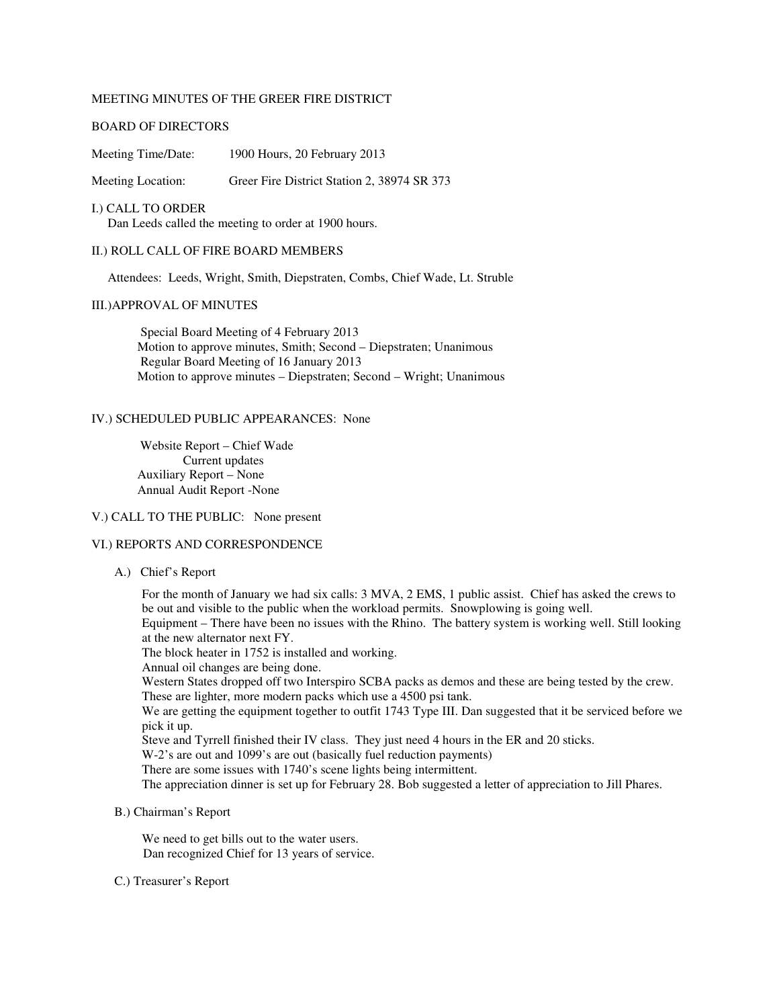# MEETING MINUTES OF THE GREER FIRE DISTRICT

### BOARD OF DIRECTORS

Meeting Time/Date: 1900 Hours, 20 February 2013

Meeting Location: Greer Fire District Station 2, 38974 SR 373

I.) CALL TO ORDER Dan Leeds called the meeting to order at 1900 hours.

# II.) ROLL CALL OF FIRE BOARD MEMBERS

Attendees: Leeds, Wright, Smith, Diepstraten, Combs, Chief Wade, Lt. Struble

#### III.)APPROVAL OF MINUTES

Special Board Meeting of 4 February 2013 Motion to approve minutes, Smith; Second – Diepstraten; Unanimous Regular Board Meeting of 16 January 2013 Motion to approve minutes – Diepstraten; Second – Wright; Unanimous

#### IV.) SCHEDULED PUBLIC APPEARANCES: None

Website Report – Chief Wade Current updates Auxiliary Report – None Annual Audit Report -None

# V.) CALL TO THE PUBLIC: None present

## VI.) REPORTS AND CORRESPONDENCE

A.) Chief's Report

For the month of January we had six calls: 3 MVA, 2 EMS, 1 public assist. Chief has asked the crews to be out and visible to the public when the workload permits. Snowplowing is going well.

Equipment – There have been no issues with the Rhino. The battery system is working well. Still looking at the new alternator next FY.

The block heater in 1752 is installed and working.

Annual oil changes are being done.

Western States dropped off two Interspiro SCBA packs as demos and these are being tested by the crew. These are lighter, more modern packs which use a 4500 psi tank.

We are getting the equipment together to outfit 1743 Type III. Dan suggested that it be serviced before we pick it up.

Steve and Tyrrell finished their IV class. They just need 4 hours in the ER and 20 sticks.

W-2's are out and 1099's are out (basically fuel reduction payments)

There are some issues with 1740's scene lights being intermittent.

The appreciation dinner is set up for February 28. Bob suggested a letter of appreciation to Jill Phares.

B.) Chairman's Report

We need to get bills out to the water users. Dan recognized Chief for 13 years of service.

#### C.) Treasurer's Report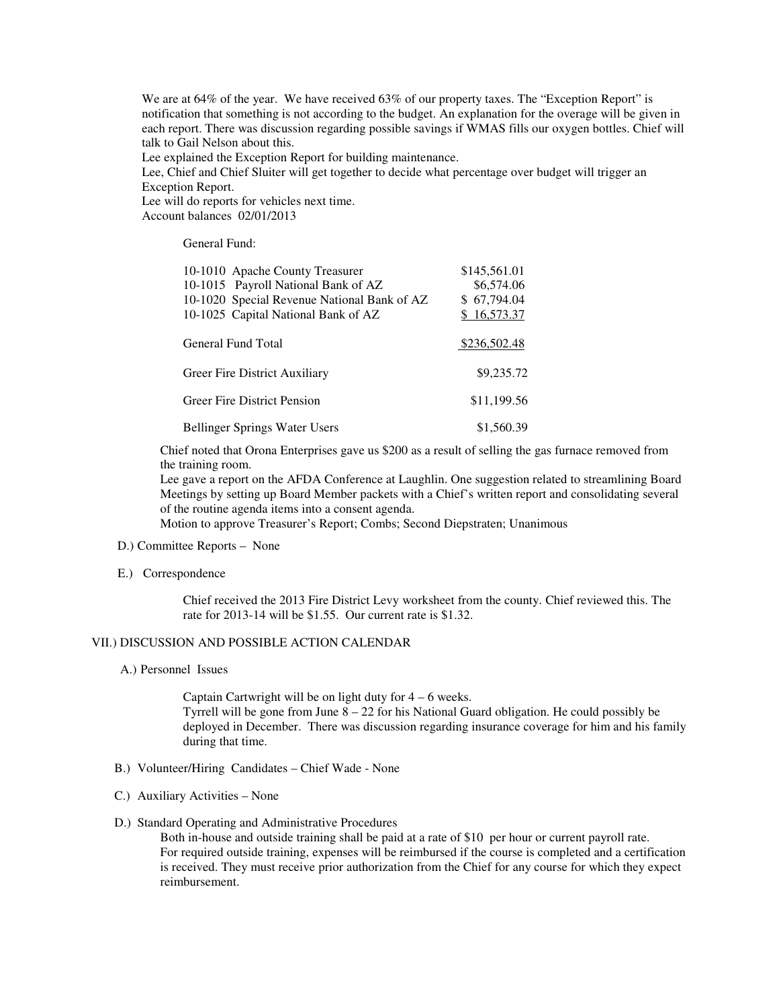We are at 64% of the year. We have received 63% of our property taxes. The "Exception Report" is notification that something is not according to the budget. An explanation for the overage will be given in each report. There was discussion regarding possible savings if WMAS fills our oxygen bottles. Chief will talk to Gail Nelson about this.

Lee explained the Exception Report for building maintenance.

Lee, Chief and Chief Sluiter will get together to decide what percentage over budget will trigger an Exception Report.

Lee will do reports for vehicles next time.

Account balances 02/01/2013

General Fund:

| 10-1010 Apache County Treasurer                                                    | \$145,561.01              |
|------------------------------------------------------------------------------------|---------------------------|
| 10-1015 Payroll National Bank of AZ                                                | \$6,574.06<br>\$67,794.04 |
| 10-1020 Special Revenue National Bank of AZ<br>10-1025 Capital National Bank of AZ | \$16,573.37               |
|                                                                                    |                           |
| General Fund Total                                                                 | \$236,502.48              |
| Greer Fire District Auxiliary                                                      | \$9,235.72                |
| <b>Greer Fire District Pension</b>                                                 | \$11,199.56               |
| <b>Bellinger Springs Water Users</b>                                               | \$1,560.39                |

Chief noted that Orona Enterprises gave us \$200 as a result of selling the gas furnace removed from the training room.

Lee gave a report on the AFDA Conference at Laughlin. One suggestion related to streamlining Board Meetings by setting up Board Member packets with a Chief's written report and consolidating several of the routine agenda items into a consent agenda.

Motion to approve Treasurer's Report; Combs; Second Diepstraten; Unanimous

- D.) Committee Reports None
- E.) Correspondence

 Chief received the 2013 Fire District Levy worksheet from the county. Chief reviewed this. The rate for 2013-14 will be \$1.55. Our current rate is \$1.32.

# VII.) DISCUSSION AND POSSIBLE ACTION CALENDAR

A.) Personnel Issues

Captain Cartwright will be on light duty for  $4 - 6$  weeks. Tyrrell will be gone from June  $8 - 22$  for his National Guard obligation. He could possibly be deployed in December. There was discussion regarding insurance coverage for him and his family during that time.

- B.) Volunteer/Hiring Candidates Chief Wade None
- C.) Auxiliary Activities None
- D.) Standard Operating and Administrative Procedures

Both in-house and outside training shall be paid at a rate of \$10 per hour or current payroll rate. For required outside training, expenses will be reimbursed if the course is completed and a certification is received. They must receive prior authorization from the Chief for any course for which they expect reimbursement.